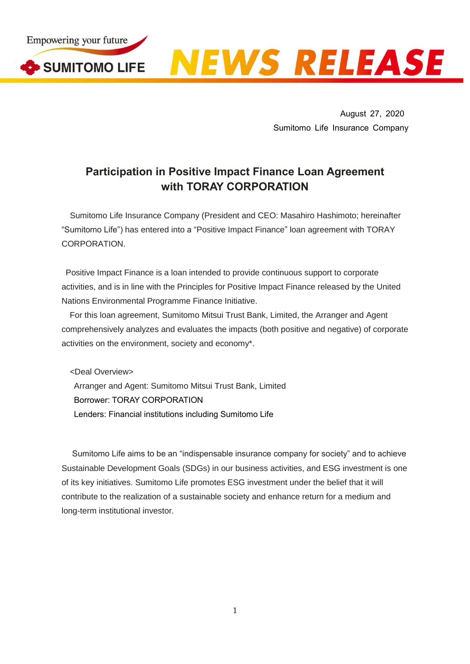

August 27, 2020 Sumitomo Life Insurance Company

## **Participation in Positive Impact Finance Loan Agreement with TORAY CORPORATION**

Sumitomo Life Insurance Company (President and CEO: Masahiro Hashimoto; hereinafter "Sumitomo Life") has entered into a "Positive Impact Finance" loan agreement with TORAY CORPORATION.

Positive Impact Finance is a loan intended to provide continuous support to corporate activities, and is in line with the Principles for Positive Impact Finance released by the United Nations Environmental Programme Finance Initiative.

For this loan agreement, Sumitomo Mitsui Trust Bank, Limited, the Arranger and Agent comprehensively analyzes and evaluates the impacts (both positive and negative) of corporate activities on the environment, society and economy\*.

<Deal Overview> Arranger and Agent: Sumitomo Mitsui Trust Bank, Limited Borrower: TORAY CORPORATION Lenders: Financial institutions including Sumitomo Life

Sumitomo Life aims to be an "indispensable insurance company for society" and to achieve Sustainable Development Goals (SDGs) in our business activities, and ESG investment is one of its key initiatives. Sumitomo Life promotes ESG investment under the belief that it will contribute to the realization of a sustainable society and enhance return for a medium and long-term institutional investor.